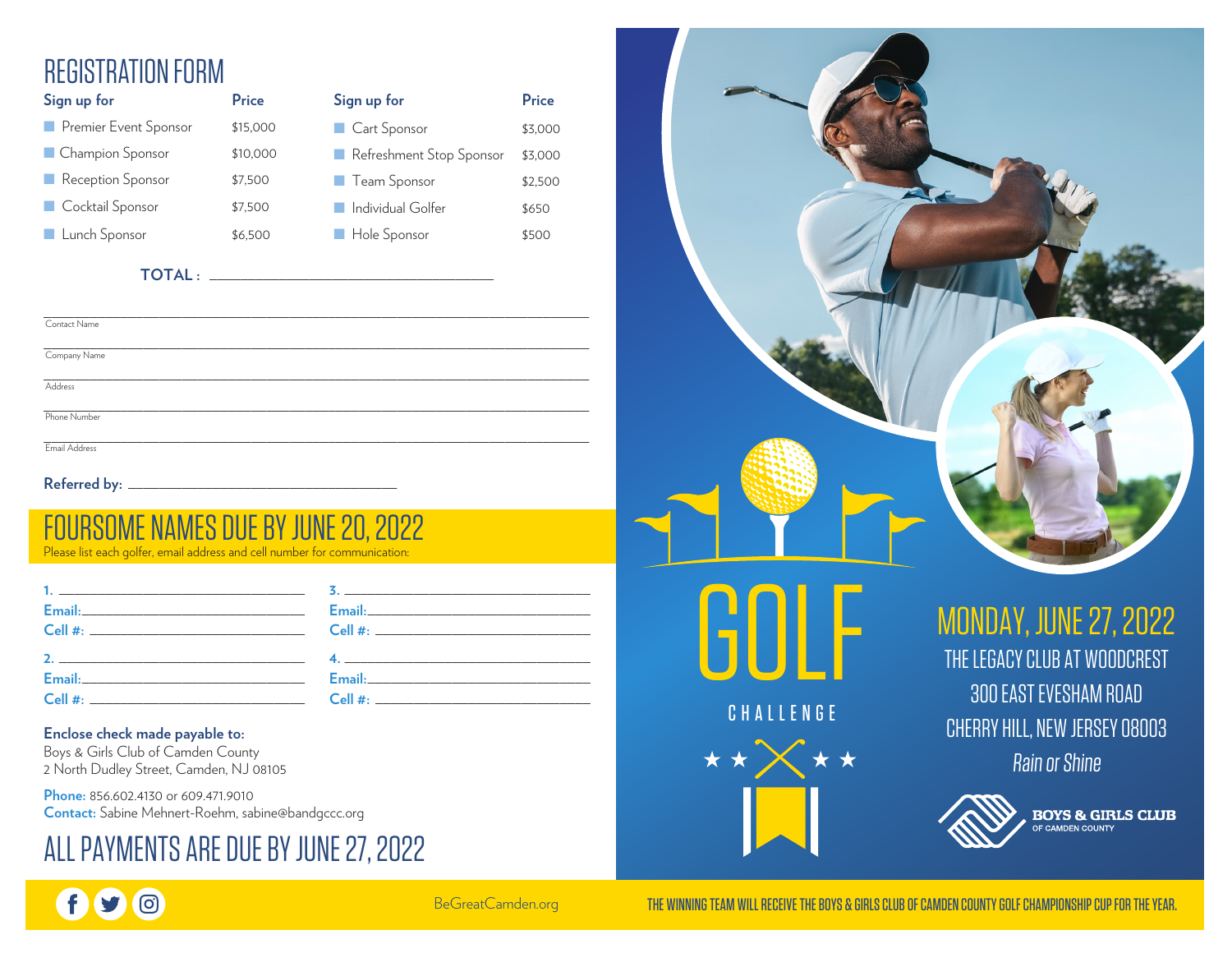# REGISTRATION FORM

| Sign up for           | Price    | Sign up for              | Price   |
|-----------------------|----------|--------------------------|---------|
| Premier Event Sponsor | \$15,000 | Cart Sponsor             | \$3,000 |
| Champion Sponsor      | \$10,000 | Refreshment Stop Sponsor | \$3,000 |
| Reception Sponsor     | \$7,500  | <b>Team Sponsor</b>      | \$2,500 |
| Cocktail Sponsor      | \$7,500  | Individual Golfer        | \$650   |
| Lunch Sponsor         | \$6,500  | Hole Sponsor             | \$500   |

| , , , , , , , | ------  | <b>September 11</b> |
|---------------|---------|---------------------|
| nsor          | \$7,500 | ■ Individual Golfer |
| or            | \$6,500 | Hole Sponsor        |
| TOTAL:        |         |                     |

| Contact Name  |  |  |
|---------------|--|--|
| Company Name  |  |  |
|               |  |  |
| Address       |  |  |
|               |  |  |
| Phone Number  |  |  |
|               |  |  |
| Email Address |  |  |
|               |  |  |

Referred by: \_

# RSOME NAMES DUE BY JUNE 20, 2022 Please list each golfer, email address and cell number for communication:

| Email: 2008 2010 2021 2022 2023 2024 2022 2022 2023 2024 2022 2023 2024 2022 2023 2024 2022 2023 2024 2025 20  |                                                                                                                                                                                                                                                                                                                        |  |
|----------------------------------------------------------------------------------------------------------------|------------------------------------------------------------------------------------------------------------------------------------------------------------------------------------------------------------------------------------------------------------------------------------------------------------------------|--|
|                                                                                                                |                                                                                                                                                                                                                                                                                                                        |  |
|                                                                                                                | 2. $\frac{1}{2}$ $\frac{1}{2}$ $\frac{1}{2}$ $\frac{1}{2}$ $\frac{1}{2}$ $\frac{1}{2}$ $\frac{1}{2}$ $\frac{1}{2}$ $\frac{1}{2}$ $\frac{1}{2}$ $\frac{1}{2}$ $\frac{1}{2}$ $\frac{1}{2}$ $\frac{1}{2}$ $\frac{1}{2}$ $\frac{1}{2}$ $\frac{1}{2}$ $\frac{1}{2}$ $\frac{1}{2}$ $\frac{1}{2}$ $\frac{1}{2}$ $\frac{1}{2}$ |  |
| Email: Email: Email: All Annual Annual Annual Annual Annual Annual Annual Annual Annual Annual Annual Annual A | Email: Email: All Annual Annual Annual Annual Annual Annual Annual Annual Annual Annual Annual Annual Annual A                                                                                                                                                                                                         |  |
| $\mathsf{Cell} \; \#$                                                                                          | $\mathsf{Cell} \; \#$                                                                                                                                                                                                                                                                                                  |  |

#### **Enclose check made payable to:**

**©** 

Boys & Girls Club of Camden County 2 North Dudley Street, Camden, NJ 08105

**Phone:** 856.602.4130 or 609.471.9010 **Contact:** Sabine Mehnert-Roehm, sabine@bandgccc.org

# ALL PAYMENTS ARE DUE BY JUNE 27, 2022



BeGreatCamden.org

THE WINNING TEAM WILL RECEIVE THE BOYS & GIRLS CLUB OF CAMDEN COUNTY GOLF CHAMPIONSHIP CUP FOR THE YEAR.